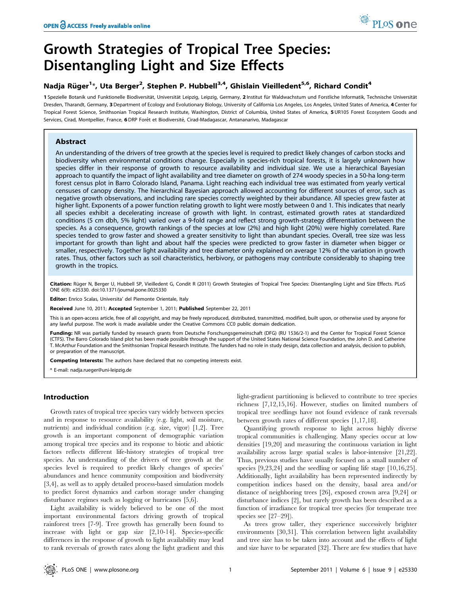# Growth Strategies of Tropical Tree Species: Disentangling Light and Size Effects

# Nadja Rüger<sup>1</sup>\*, Uta Berger<sup>2</sup>, Stephen P. Hubbell<sup>3,4</sup>, Ghislain Vieilledent<sup>5,6</sup>, Richard Condit<sup>4</sup>

1 Spezielle Botanik und Funktionelle Biodiversität, Universität Leipzig, Leipzig, Germany, 2 Institut für Waldwachstum und Forstliche Informatik, Technische Universität Dresden, Tharandt, Germany, 3 Department of Ecology and Evolutionary Biology, University of California Los Angeles, Los Angeles, United States of America, 4 Center for Tropical Forest Science, Smithsonian Tropical Research Institute, Washington, District of Columbia, United States of America, 5 UR105 Forest Ecosystem Goods and Services, Cirad, Montpellier, France, 6 DRP Forêt et Biodiversité, Cirad-Madagascar, Antananarivo, Madagascar

# Abstract

An understanding of the drivers of tree growth at the species level is required to predict likely changes of carbon stocks and biodiversity when environmental conditions change. Especially in species-rich tropical forests, it is largely unknown how species differ in their response of growth to resource availability and individual size. We use a hierarchical Bayesian approach to quantify the impact of light availability and tree diameter on growth of 274 woody species in a 50-ha long-term forest census plot in Barro Colorado Island, Panama. Light reaching each individual tree was estimated from yearly vertical censuses of canopy density. The hierarchical Bayesian approach allowed accounting for different sources of error, such as negative growth observations, and including rare species correctly weighted by their abundance. All species grew faster at higher light. Exponents of a power function relating growth to light were mostly between 0 and 1. This indicates that nearly all species exhibit a decelerating increase of growth with light. In contrast, estimated growth rates at standardized conditions (5 cm dbh, 5% light) varied over a 9-fold range and reflect strong growth-strategy differentiation between the species. As a consequence, growth rankings of the species at low (2%) and high light (20%) were highly correlated. Rare species tended to grow faster and showed a greater sensitivity to light than abundant species. Overall, tree size was less important for growth than light and about half the species were predicted to grow faster in diameter when bigger or smaller, respectively. Together light availability and tree diameter only explained on average 12% of the variation in growth rates. Thus, other factors such as soil characteristics, herbivory, or pathogens may contribute considerably to shaping tree growth in the tropics.

Citation: Rüger N, Berger U, Hubbell SP, Vieilledent G, Condit R (2011) Growth Strategies of Tropical Tree Species: Disentangling Light and Size Effects. PLoS ONE 6(9): e25330. doi:10.1371/journal.pone.0025330

Editor: Enrico Scalas, Universita' del Piemonte Orientale, Italy

Received June 10, 2011; Accepted September 1, 2011; Published September 22, 2011

This is an open-access article, free of all copyright, and may be freely reproduced, distributed, transmitted, modified, built upon, or otherwise used by anyone for any lawful purpose. The work is made available under the Creative Commons CC0 public domain dedication.

Funding: NR was partially funded by research grants from Deutsche Forschungsgemeinschaft (DFG) (RU 1536/2-1) and the Center for Tropical Forest Science (CTFS). The Barro Colorado Island plot has been made possible through the support of the United States National Science Foundation, the John D. and Catherine T. McArthur Foundation and the Smithsonian Tropical Research Institute. The funders had no role in study design, data collection and analysis, decision to publish, or preparation of the manuscript.

Competing Interests: The authors have declared that no competing interests exist.

\* E-mail: nadja.rueger@uni-leipzig.de

# Introduction

Growth rates of tropical tree species vary widely between species and in response to resource availability (e.g. light, soil moisture, nutrients) and individual condition (e.g. size, vigor) [1,2]. Tree growth is an important component of demographic variation among tropical tree species and its response to biotic and abiotic factors reflects different life-history strategies of tropical tree species. An understanding of the drivers of tree growth at the species level is required to predict likely changes of species' abundances and hence community composition and biodiversity [3,4], as well as to apply detailed process-based simulation models to predict forest dynamics and carbon storage under changing disturbance regimes such as logging or hurricanes [5,6].

Light availability is widely believed to be one of the most important environmental factors driving growth of tropical rainforest trees [7-9]. Tree growth has generally been found to increase with light or gap size [2,10-14]. Species-specific differences in the response of growth to light availability may lead to rank reversals of growth rates along the light gradient and this light-gradient partitioning is believed to contribute to tree species richness [7,12,15,16]. However, studies on limited numbers of tropical tree seedlings have not found evidence of rank reversals between growth rates of different species [1,17,18].

Quantifying growth response to light across highly diverse tropical communities is challenging. Many species occur at low densities [19,20] and measuring the continuous variation in light availability across large spatial scales is labor-intensive [21,22]. Thus, previous studies have usually focused on a small number of species [9,23,24] and the seedling or sapling life stage [10,16,25]. Additionally, light availability has been represented indirectly by competition indices based on the density, basal area and/or distance of neighboring trees [26], exposed crown area [9,24] or disturbance indices [2], but rarely growth has been described as a function of irradiance for tropical tree species (for temperate tree species see [27–29]).

As trees grow taller, they experience successively brighter environments [30,31]. This correlation between light availability and tree size has to be taken into account and the effects of light and size have to be separated [32]. There are few studies that have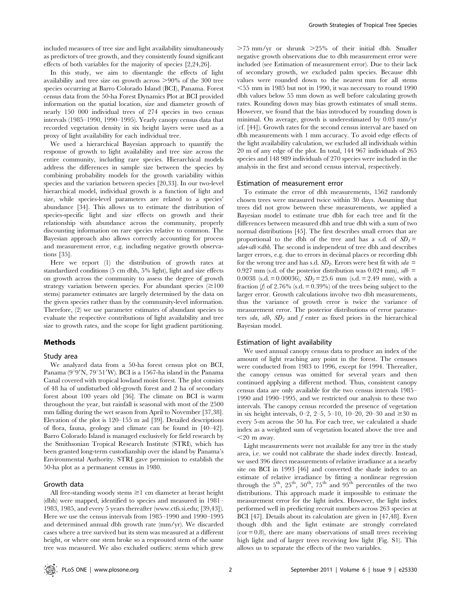included measures of tree size and light availability simultaneously as predictors of tree growth, and they consistently found significant effects of both variables for the majority of species [2,24,26].

In this study, we aim to disentangle the effects of light availability and tree size on growth across  $>90\%$  of the 300 tree species occurring at Barro Colorado Island (BCI), Panama. Forest census data from the 50-ha Forest Dynamics Plot at BCI provided information on the spatial location, size and diameter growth of nearly 150 000 individual trees of 274 species in two census intervals (1985–1990, 1990–1995). Yearly canopy census data that recorded vegetation density in six height layers were used as a proxy of light availability for each individual tree.

We used a hierarchical Bayesian approach to quantify the response of growth to light availability and tree size across the entire community, including rare species. Hierarchical models address the differences in sample size between the species by combining probability models for the growth variability within species and the variation between species [20,33]. In our two-level hierarchical model, individual growth is a function of light and size, while species-level parameters are related to a species' abundance [34]. This allows us to estimate the distribution of species-specific light and size effects on growth and their relationship with abundance across the community, properly discounting information on rare species relative to common. The Bayesian approach also allows correctly accounting for process and measurement error, e.g. including negative growth observations [35].

Here we report (1) the distribution of growth rates at standardized conditions (5 cm dbh, 5% light), light and size effects on growth across the community to assess the degree of growth strategy variation between species. For abundant species  $(\geq 100$ stems) parameter estimates are largely determined by the data on the given species rather than by the community-level information. Therefore, (2) we use parameter estimates of abundant species to evaluate the respective contributions of light availability and tree size to growth rates, and the scope for light gradient partitioning.

# Methods

#### Study area

We analyzed data from a 50-ha forest census plot on BCI, Panama ( $9^{\circ}9'$ N,  $79^{\circ}51'$ W). BCI is a 1567-ha island in the Panama Canal covered with tropical lowland moist forest. The plot consists of 48 ha of undisturbed old-growth forest and 2 ha of secondary forest about 100 years old [36]. The climate on BCI is warm throughout the year, but rainfall is seasonal with most of the 2500 mm falling during the wet season from April to November [37,38]. Elevation of the plot is 120–155 m asl [39]. Detailed descriptions of flora, fauna, geology and climate can be found in [40–42]. Barro Colorado Island is managed exclusively for field research by the Smithsonian Tropical Research Institute (STRI), which has been granted long-term custodianship over the island by Panama's Environmental Authority. STRI gave permission to establish the 50-ha plot as a permanent census in 1980.

#### Growth data

All free-standing woody stems  $\geq 1$  cm diameter at breast height (dbh) were mapped, identified to species and measured in 1981– 1983, 1985, and every 5 years thereafter (www.ctfs.si.edu; [39,43]). Here we use the census intervals from 1985–1990 and 1990–1995 and determined annual dbh growth rate (mm/yr). We discarded cases where a tree survived but its stem was measured at a different height, or where one stem broke so a resprouted stem of the same tree was measured. We also excluded outliers: stems which grew

 $>75$  mm/yr or shrunk  $>25\%$  of their initial dbh. Smaller negative growth observations due to dbh measurement error were included (see Estimation of measurement error). Due to their lack of secondary growth, we excluded palm species. Because dbh values were rounded down to the nearest mm for all stems  $<$  55 mm in 1985 but not in 1990, it was necessary to round 1990 dbh values below 55 mm down as well before calculating growth rates. Rounding down may bias growth estimates of small stems. However, we found that the bias introduced by rounding down is minimal. On average, growth is underestimated by 0.03 mm/yr (cf. [44]). Growth rates for the second census interval are based on dbh measurements with 1 mm accuracy. To avoid edge effects of the light availability calculation, we excluded all individuals within 20 m of any edge of the plot. In total, 144 967 individuals of 265 species and 148 989 individuals of 270 species were included in the analysis in the first and second census interval, respectively.

#### Estimation of measurement error

To estimate the error of dbh measurements, 1562 randomly chosen trees were measured twice within 30 days. Assuming that trees did not grow between these measurements, we applied a Bayesian model to estimate true dbh for each tree and fit the differences between measured dbh and true dbh with a sum of two normal distributions [45]. The first describes small errors that are proportional to the dbh of the tree and has a s.d. of  $SD_1$ =  $sda+sdb \times dbh$ . The second is independent of tree dbh and describes larger errors, e.g. due to errors in decimal places or recording dbh for the wrong tree and has s.d.  $SD_2$ . Errors were best fit with sda = 0.927 mm (s.d. of the posterior distribution was 0.024 mm),  $sdb =$ 0.0038 (s.d. = 0.00036),  $SD_2 = 25.6$  mm (s.d. = 2.49 mm), with a fraction (f) of 2.76% (s.d. =  $0.39%$ ) of the trees being subject to the larger error. Growth calculations involve two dbh measurements, thus the variance of growth error is twice the variance of measurement error. The posterior distributions of error parameters sda, sdb,  $SD_2$  and f enter as fixed priors in the hierarchical Bayesian model.

#### Estimation of light availability

We used annual canopy census data to produce an index of the amount of light reaching any point in the forest. The censuses were conducted from 1983 to 1996, except for 1994. Thereafter, the canopy census was omitted for several years and then continued applying a different method. Thus, consistent canopy census data are only available for the two census intervals 1985– 1990 and 1990–1995, and we restricted our analysis to these two intervals. The canopy census recorded the presence of vegetation in six height intervals, 0–2, 2–5, 5–10, 10–20, 20–30 and  $\geq 30$  m every 5-m across the 50 ha. For each tree, we calculated a shade index as a weighted sum of vegetation located above the tree and  $<$ 20 m away.

Light measurements were not available for any tree in the study area, i.e. we could not calibrate the shade index directly. Instead, we used 396 direct measurements of relative irradiance at a nearby site on BCI in 1993 [46] and converted the shade index to an estimate of relative irradiance by fitting a nonlinear regression through the  $5<sup>th</sup>$ ,  $25<sup>th</sup>$ ,  $50<sup>th</sup>$ ,  $75<sup>th</sup>$  and  $95<sup>th</sup>$  percentiles of the two distributions. This approach made it impossible to estimate the measurement error for the light index. However, the light index performed well in predicting recruit numbers across 263 species at BCI [47]. Details about its calculation are given in [47,48]. Even though dbh and the light estimate are strongly correlated  $(cor = 0.8)$ , there are many observations of small trees receiving high light and of larger trees receiving low light (Fig. S1). This allows us to separate the effects of the two variables.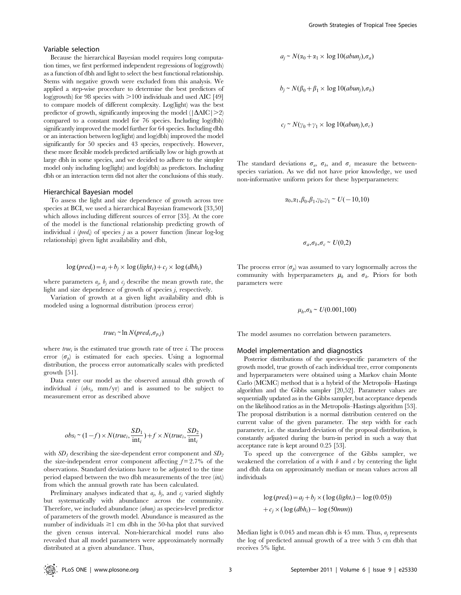#### Variable selection

Because the hierarchical Bayesian model requires long computation times, we first performed independent regressions of log(growth) as a function of dbh and light to select the best functional relationship. Stems with negative growth were excluded from this analysis. We applied a step-wise procedure to determine the best predictors of  $log(growth)$  for 98 species with  $>100$  individuals and used AIC [49] to compare models of different complexity. Log(light) was the best predictor of growth, significantly improving the model ( $|\Delta AIC|>2$ ) compared to a constant model for 76 species. Including log(dbh) significantly improved the model further for 64 species. Including dbh or an interaction between log(light) and log(dbh) improved the model significantly for 50 species and 43 species, respectively. However, these more flexible models predicted artificially low or high growth at large dbh in some species, and we decided to adhere to the simpler model only including log(light) and log(dbh) as predictors. Including dbh or an interaction term did not alter the conclusions of this study.

## Hierarchical Bayesian model

To assess the light and size dependence of growth across tree species at BCI, we used a hierarchical Bayesian framework [33,50] which allows including different sources of error [35]. At the core of the model is the functional relationship predicting growth of individual *i* (*pred<sub>i</sub>*) of species *j* as a power function (linear log-log relationship) given light availability and dbh,

$$
\log(pred_i) = a_j + b_j \times \log (light_i) + c_j \times \log (dbh_i)
$$

where parameters  $a_j$ ,  $b_j$  and  $c_j$  describe the mean growth rate, the light and size dependence of growth of species j, respectively.

Variation of growth at a given light availability and dbh is modeled using a lognormal distribution (process error)

# $true_i \sim \ln N(pred_i, \sigma_{p,j})$

where  $true_i$  is the estimated true growth rate of tree *i*. The process error  $(\sigma_h)$  is estimated for each species. Using a lognormal distribution, the process error automatically scales with predicted growth [51].

Data enter our model as the observed annual dbh growth of individual  $i \left( obs_i, \text{ mm/yr} \right)$  and is assumed to be subject to measurement error as described above

$$
obs_i \sim (1 - f) \times N(true_i, \frac{SD_1}{\text{int}_i}) + f \times N(true_i, \frac{SD_2}{\text{int}_i})
$$

with  $SD_1$  describing the size-dependent error component and  $SD_2$ the size-independent error component affecting  $f = 2.7\%$  of the observations. Standard deviations have to be adjusted to the time period elapsed between the two dbh measurements of the tree  $\left(\dot{m}t_{i}\right)$ from which the annual growth rate has been calculated.

Preliminary analyses indicated that  $a_j$ ,  $b_j$ , and  $c_j$  varied slightly but systematically with abundance across the community. Therefore, we included abundance (abung) as species-level predictor of parameters of the growth model. Abundance is measured as the number of individuals  $\geq 1$  cm dbh in the 50-ha plot that survived the given census interval. Non-hierarchical model runs also revealed that all model parameters were approximately normally distributed at a given abundance. Thus,

$$
a_j \sim N(\alpha_0 + \alpha_1 \times \log 10(abun_j), \sigma_a)
$$

$$
b_j \sim N(\beta_0 + \beta_1 \times \log 10(abun_j), \sigma_b)
$$

$$
c_j \sim N(\gamma_0 + \gamma_1 \times \log 10(abun_j), \sigma_c)
$$

The standard deviations  $\sigma_a$ ,  $\sigma_b$ , and  $\sigma_c$  measure the betweenspecies variation. As we did not have prior knowledge, we used non-informative uniform priors for these hyperparameters:

$$
\alpha_0,\alpha_1,\beta_0,\beta_1,\gamma_0,\gamma_1 \sim U(-10,10)
$$

$$
\sigma_a, \sigma_b, \sigma_c \sim U(0,2)
$$

The process error  $(\sigma_p)$  was assumed to vary lognormally across the community with hyperparameters  $\mu_h$  and  $\sigma_h$ . Priors for both parameters were

$$
\mu_h, \sigma_h \sim U(0.001, 100)
$$

The model assumes no correlation between parameters.

#### Model implementation and diagnostics

Posterior distributions of the species-specific parameters of the growth model, true growth of each individual tree, error components and hyperparameters were obtained using a Markov chain Monte Carlo (MCMC) method that is a hybrid of the Metropolis–Hastings algorithm and the Gibbs sampler [20,52]. Parameter values are sequentially updated as in the Gibbs sampler, but acceptance depends on the likelihood ratios as in the Metropolis–Hastings algorithm [53]. The proposal distribution is a normal distribution centered on the current value of the given parameter. The step width for each parameter, i.e. the standard deviation of the proposal distribution, is constantly adjusted during the burn-in period in such a way that acceptance rate is kept around 0.25 [53].

To speed up the convergence of the Gibbs sampler, we weakened the correlation of  $a$  with  $b$  and  $c$  by centering the light and dbh data on approximately median or mean values across all individuals

$$
\log(pred_i) = a_j + b_j \times (\log (light_i) - \log (0.05))
$$

$$
+ c_j \times (\log (dbh_i) - \log (50mm))
$$

Median light is  $0.045$  and mean dbh is 45 mm. Thus,  $a_i$  represents the log of predicted annual growth of a tree with 5 cm dbh that receives 5% light.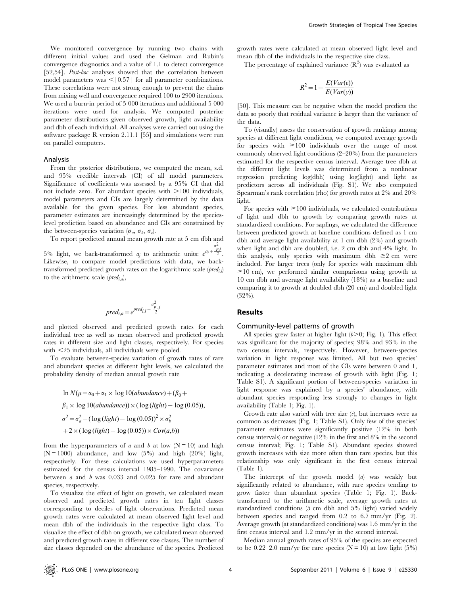We monitored convergence by running two chains with different initial values and used the Gelman and Rubin's convergence diagnostics and a value of 1.1 to detect convergence [52,54]. Post-hoc analyses showed that the correlation between model parameters was  $\leq$ [0.57] for all parameter combinations. These correlations were not strong enough to prevent the chains from mixing well and convergence required 100 to 2900 iterations. We used a burn-in period of 5 000 iterations and additional 5 000 iterations were used for analysis. We computed posterior parameter distributions given observed growth, light availability and dbh of each individual. All analyses were carried out using the software package R version 2.11.1 [55] and simulations were run on parallel computers.

#### Analysis

From the posterior distributions, we computed the mean, s.d. and 95% credible intervals (CI) of all model parameters. Significance of coefficients was assessed by a 95% CI that did not include zero. For abundant species with  $>100$  individuals, model parameters and CIs are largely determined by the data available for the given species. For less abundant species, parameter estimates are increasingly determined by the specieslevel prediction based on abundance and CIs are constrained by the between-species variation ( $\sigma_a$ ,  $\sigma_b$ ,  $\sigma_c$ ).

To report predicted annual mean growth rate at 5 cm dbh and

5% light, we back-transformed  $a_j$  to arithmetic units:  $e^{a_j +}$  $rac{\sigma_{p,j}^2}{2}$ . Likewise, to compare model predictions with data, we backtransformed predicted growth rates on the logarithmic scale  $(pred_{i,l})$ to the arithmetic scale (*pred<sub>i,a</sub>*),

$$
pred_{i,a} = e^{pred_{i,l} + \frac{\sigma_{p,j}^2}{2}}
$$

and plotted observed and predicted growth rates for each individual tree as well as mean observed and predicted growth rates in different size and light classes, respectively. For species with  $\leq$ 25 individuals, all individuals were pooled.

To evaluate between-species variation of growth rates of rare and abundant species at different light levels, we calculated the probability density of median annual growth rate

$$
\ln N(\mu = \alpha_0 + \alpha_1 \times \log 10(abundance) + (\beta_0 + \beta_1 \times \log 10(abundance)) \times (\log (light) - \log (0.05)),
$$
  

$$
\sigma^2 = \sigma_a^2 + (\log (light) - \log (0.05))^2 \times \sigma_b^2
$$
  

$$
+ 2 \times (\log (light) - \log (0.05)) \times Cov(a,b))
$$

from the hyperparameters of a and b at low  $(N = 10)$  and high  $(N = 1000)$  abundance, and low  $(5\%)$  and high  $(20\%)$  light, respectively. For these calculations we used hyperparameters estimated for the census interval 1985–1990. The covariance between  $a$  and  $b$  was 0.033 and 0.025 for rare and abundant species, respectively.

To visualize the effect of light on growth, we calculated mean observed and predicted growth rates in ten light classes corresponding to deciles of light observations. Predicted mean growth rates were calculated at mean observed light level and mean dbh of the individuals in the respective light class. To visualize the effect of dbh on growth, we calculated mean observed and predicted growth rates in different size classes. The number of size classes depended on the abundance of the species. Predicted

growth rates were calculated at mean observed light level and mean dbh of the individuals in the respective size class.

The percentage of explained variance  $(R^2)$  was evaluated as

$$
R^2 = 1 - \frac{E(Var(\varepsilon))}{E(Var(y))}
$$

[50]. This measure can be negative when the model predicts the data so poorly that residual variance is larger than the variance of the data.

To (visually) assess the conservation of growth rankings among species at different light conditions, we computed average growth for species with  $\geq 100$  individuals over the range of most commonly observed light conditions (2–20%) from the parameters estimated for the respective census interval. Average tree dbh at the different light levels was determined from a nonlinear regression predicting log(dbh) using log(light) and light as predictors across all individuals (Fig. S1). We also computed Spearman's rank correlation (rho) for growth rates at 2% and 20% light.

For species with  $\geq$ 100 individuals, we calculated contributions of light and dbh to growth by comparing growth rates at standardized conditions. For saplings, we calculated the difference between predicted growth at baseline conditions defined as 1 cm dbh and average light availability at 1 cm dbh (2%) and growth when light and dbh are doubled, i.e. 2 cm dbh and 4% light. In this analysis, only species with maximum dbh  $\geq 2$  cm were included. For larger trees (only for species with maximum dbh  $\geq$ 10 cm), we performed similar comparisons using growth at 10 cm dbh and average light availability (18%) as a baseline and comparing it to growth at doubled dbh (20 cm) and doubled light (32%).

# Results

#### Community-level patterns of growth

All species grew faster at higher light  $(b>0;$  Fig. 1). This effect was significant for the majority of species; 98% and 93% in the two census intervals, respectively. However, between-species variation in light response was limited. All but two species' parameter estimates and most of the CIs were between 0 and 1, indicating a decelerating increase of growth with light (Fig. 1; Table S1). A significant portion of between-species variation in light response was explained by a species' abundance, with abundant species responding less strongly to changes in light availability (Table 1; Fig. 1).

Growth rate also varied with tree size  $(c)$ , but increases were as common as decreases (Fig. 1; Table S1). Only few of the species' parameter estimates were significantly positive (12% in both census intervals) or negative (12% in the first and 8% in the second census interval; Fig. 1; Table S1). Abundant species showed growth increases with size more often than rare species, but this relationship was only significant in the first census interval (Table 1).

The intercept of the growth model (a) was weakly but significantly related to abundance, with rare species tending to grow faster than abundant species (Table 1; Fig. 1). Backtransformed to the arithmetic scale, average growth rates at standardized conditions (5 cm dbh and 5% light) varied widely between species and ranged from 0.2 to 6.7 mm/yr (Fig. 2). Average growth (at standardized conditions) was 1.6 mm/yr in the first census interval and 1.2 mm/yr in the second interval.

Median annual growth rates of 95% of the species are expected to be 0.22–2.0 mm/yr for rare species ( $N = 10$ ) at low light (5%)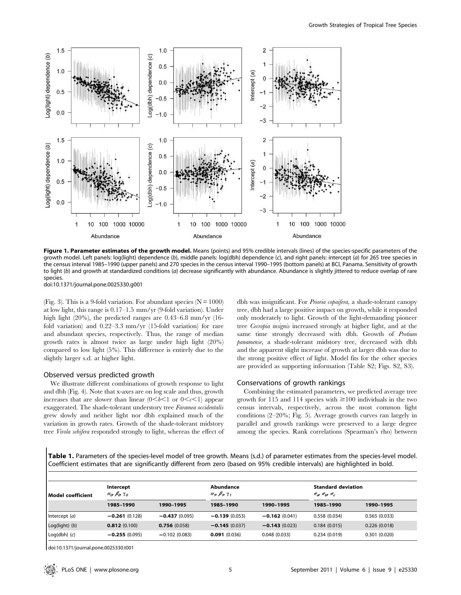

Figure 1. Parameter estimates of the growth model. Means (points) and 95% credible intervals (lines) of the species-specific parameters of the growth model. Left panels: log(light) dependence (b), middle panels: log(dbh) dependence (c), and right panels: intercept (a) for 265 tree species in the census interval 1985–1990 (upper panels) and 270 species in the census interval 1990–1995 (bottom panels) at BCI, Panama. Sensitivity of growth to light (b) and growth at standardized conditions (a) decrease significantly with abundance. Abundance is slightly jittered to reduce overlap of rare species.

doi:10.1371/journal.pone.0025330.g001

(Fig. 3). This is a 9-fold variation. For abundant species ( $N = 1000$ ) at low light, this range is 0.17–1.5 mm/yr (9-fold variation). Under high light (20%), the predicted ranges are 0.43–6.8 mm/yr (16 fold variation) and 0.22–3.3 mm/yr (15-fold variation) for rare and abundant species, respectively. Thus, the range of median growth rates is almost twice as large under high light (20%) compared to low light (5%). This difference is entirely due to the slightly larger s.d. at higher light.

# Observed versus predicted growth

We illustrate different combinations of growth response to light and dbh (Fig. 4). Note that x-axes are on log scale and thus, growth increases that are slower than linear  $(0 < b < 1 \text{ or } 0 < c < 1)$  appear exaggerated. The shade-tolerant understory tree Faramea occidentalis grew slowly and neither light nor dbh explained much of the variation in growth rates. Growth of the shade-tolerant midstory tree Virola sebifera responded strongly to light, whereas the effect of dbh was insignificant. For Prioria copaifera, a shade-tolerant canopy tree, dbh had a large positive impact on growth, while it responded only moderately to light. Growth of the light-demanding pioneer tree Cecropia insignis increased strongly at higher light, and at the same time strongly decreased with dbh. Growth of Protium panamense, a shade-tolerant midstory tree, decreased with dbh and the apparent slight increase of growth at larger dbh was due to the strong positive effect of light. Model fits for the other species are provided as supporting information (Table S2; Figs. S2, S3).

# Conservations of growth rankings

Combining the estimated parameters, we predicted average tree growth for 115 and 114 species with  $\geq 100$  individuals in the two census intervals, respectively, across the most common light conditions (2–20%; Fig. 5). Average growth curves ran largely in parallel and growth rankings were preserved to a large degree among the species. Rank correlations (Spearman's rho) between

Table 1. Parameters of the species-level model of tree growth. Means (s.d.) of parameter estimates from the species-level model. Coefficient estimates that are significantly different from zero (based on 95% credible intervals) are highlighted in bold.

| l Model coefficient | Intercept<br>$\alpha_0$ $\beta_0$ $\gamma_0$ |                 | Abundance<br>$\alpha_{1}, \beta_{1}, \gamma_{1}$ |                 | <b>Standard deviation</b><br>$\sigma_{a}$ $\sigma_{b}$ , $\sigma_{c}$ |              |
|---------------------|----------------------------------------------|-----------------|--------------------------------------------------|-----------------|-----------------------------------------------------------------------|--------------|
|                     | 1985-1990                                    | 1990-1995       | 1985-1990                                        | 1990-1995       | 1985-1990                                                             | 1990-1995    |
| Intercept $(a)$     | $-0.261(0.128)$                              | $-0.437(0.095)$ | $-0.139(0.053)$                                  | $-0.162(0.041)$ | 0.558(0.034)                                                          | 0.565(0.033) |
| $Log(light)$ (b)    | 0.812(0.100)                                 | 0.756(0.058)    | $-0.145(0.037)$                                  | $-0.143(0.023)$ | 0.184(0.015)                                                          | 0.226(0.018) |
| $Log(dbh)$ (c)      | $-0.255(0.095)$                              | $-0.102(0.083)$ | 0.091(0.036)                                     | 0.048(0.033)    | 0.234(0.019)                                                          | 0.301(0.020) |

doi:10.1371/journal.pone.0025330.t001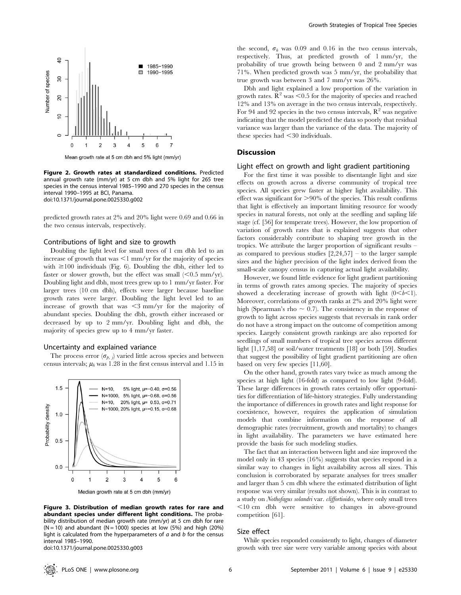

Mean growth rate at 5 cm dbh and 5% light (mm/yr)

Figure 2. Growth rates at standardized conditions. Predicted annual growth rate (mm/yr) at 5 cm dbh and 5% light for 265 tree species in the census interval 1985–1990 and 270 species in the census interval 1990–1995 at BCI, Panama. doi:10.1371/journal.pone.0025330.g002

predicted growth rates at 2% and 20% light were 0.69 and 0.66 in the two census intervals, respectively.

## Contributions of light and size to growth

Doubling the light level for small trees of 1 cm dbh led to an increase of growth that was  $\leq$ 1 mm/yr for the majority of species with  $\geq$ 100 individuals (Fig. 6). Doubling the dbh, either led to faster or slower growth, but the effect was small  $(< 0.5$  mm/yr). Doubling light and dbh, most trees grew up to 1 mm/yr faster. For larger trees (10 cm dbh), effects were larger because baseline growth rates were larger. Doubling the light level led to an increase of growth that was  $\leq$ 3 mm/yr for the majority of abundant species. Doubling the dbh, growth either increased or decreased by up to 2 mm/yr. Doubling light and dbh, the majority of species grew up to 4 mm/yr faster.

#### Uncertainty and explained variance

The process error  $(\sigma_{p, i})$  varied little across species and between census intervals;  $\mu_h$  was 1.28 in the first census interval and 1.15 in



Figure 3. Distribution of median growth rates for rare and abundant species under different light conditions. The probability distribution of median growth rate (mm/yr) at 5 cm dbh for rare  $(N = 10)$  and abundant  $(N = 1000)$  species at low (5%) and high (20%) light is calculated from the hyperparameters of  $a$  and  $b$  for the census interval 1985–1990.

doi:10.1371/journal.pone.0025330.g003

the second,  $\sigma_h$  was 0.09 and 0.16 in the two census intervals, respectively. Thus, at predicted growth of 1 mm/yr, the probability of true growth being between 0 and 2 mm/yr was 71%. When predicted growth was 5 mm/yr, the probability that true growth was between 3 and 7 mm/yr was 26%.

Dbh and light explained a low proportion of the variation in growth rates.  $\mathbb{R}^2$  was <0.5 for the majority of species and reached 12% and 13% on average in the two census intervals, respectively. For 94 and 92 species in the two census intervals,  $\mathbb{R}^2$  was negative indicating that the model predicted the data so poorly that residual variance was larger than the variance of the data. The majority of these species had  $\leq 30$  individuals.

## Discussion

#### Light effect on growth and light gradient partitioning

For the first time it was possible to disentangle light and size effects on growth across a diverse community of tropical tree species. All species grew faster at higher light availability. This effect was significant for  $>90\%$  of the species. This result confirms that light is effectively an important limiting resource for woody species in natural forests, not only at the seedling and sapling life stage (cf. [56] for temperate trees). However, the low proportion of variation of growth rates that is explained suggests that other factors considerably contribute to shaping tree growth in the tropics. We attribute the larger proportion of significant results – as compared to previous studies  $[2,24,57]$  – to the larger sample sizes and the higher precision of the light index derived from the small-scale canopy census in capturing actual light availability.

However, we found little evidence for light gradient partitioning in terms of growth rates among species. The majority of species showed a decelerating increase of growth with light  $(0 < b < 1)$ . Moreover, correlations of growth ranks at 2% and 20% light were high (Spearman's rho  $\sim$  0.7). The consistency in the response of growth to light across species suggests that reversals in rank order do not have a strong impact on the outcome of competition among species. Largely consistent growth rankings are also reported for seedlings of small numbers of tropical tree species across different light [1,17,58] or soil/water treatments [18] or both [59]. Studies that suggest the possibility of light gradient partitioning are often based on very few species [11,60].

On the other hand, growth rates vary twice as much among the species at high light (16-fold) as compared to low light (9-fold). These large differences in growth rates certainly offer opportunities for differentiation of life-history strategies. Fully understanding the importance of differences in growth rates and light response for coexistence, however, requires the application of simulation models that combine information on the response of all demographic rates (recruitment, growth and mortality) to changes in light availability. The parameters we have estimated here provide the basis for such modeling studies.

The fact that an interaction between light and size improved the model only in 43 species (16%) suggests that species respond in a similar way to changes in light availability across all sizes. This conclusion is corroborated by separate analyses for trees smaller and larger than 5 cm dbh where the estimated distribution of light response was very similar (results not shown). This is in contrast to a study on Nothofagus solandri var. cliffortioides, where only small trees  $\leq$ 10 cm dbh were sensitive to changes in above-ground competition [61].

#### Size effect

While species responded consistently to light, changes of diameter growth with tree size were very variable among species with about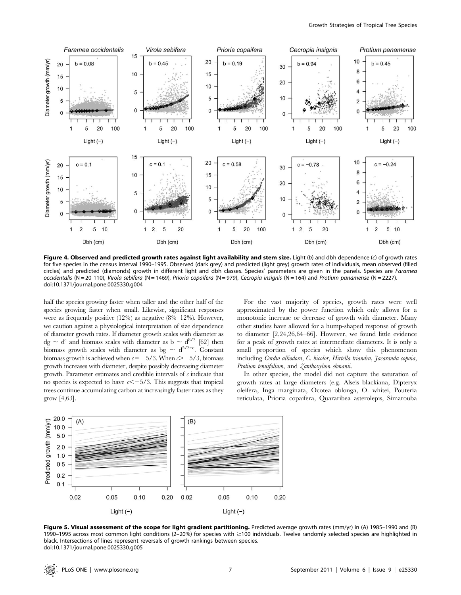

Figure 4. Observed and predicted growth rates against light availability and stem size. Light  $(b)$  and dbh dependence  $(c)$  of growth rates for five species in the census interval 1990–1995. Observed (dark grey) and predicted (light grey) growth rates of individuals, mean observed (filled circles) and predicted (diamonds) growth in different light and dbh classes. Species' parameters are given in the panels. Species are Faramea occidentalis (N = 20 110), Virola sebifera (N = 1469), Prioria copaifera (N = 979), Cecropia insignis (N = 164) and Protium panamense (N = 2227). doi:10.1371/journal.pone.0025330.g004

half the species growing faster when taller and the other half of the species growing faster when small. Likewise, significant responses were as frequently positive (12%) as negative (8%–12%). However, we caution against a physiological interpretation of size dependence of diameter growth rates. If diameter growth scales with diameter as dg  $\sim d^{c}$  and biomass scales with diameter as b  $\sim d^{8/3}$  [62] then biomass growth scales with diameter as bg  $\sim d^{5/3+c}$ . Constant biomass growth is achieved when  $c = -5/3$ . When  $c > -5/3$ , biomass growth increases with diameter, despite possibly decreasing diameter growth. Parameter estimates and credible intervals of  $\epsilon$  indicate that no species is expected to have  $c \leq -5/3$ . This suggests that tropical trees continue accumulating carbon at increasingly faster rates as they grow [4,63].

For the vast majority of species, growth rates were well approximated by the power function which only allows for a monotonic increase or decrease of growth with diameter. Many other studies have allowed for a hump-shaped response of growth to diameter [2,24,26,64–66]. However, we found little evidence for a peak of growth rates at intermediate diameters. It is only a small proportion of species which show this phenomenon including Cordia alliodora, C. bicolor, Hirtella triandra, Jacaranda copaia, Protium tenuifolium, and Zanthoxylum ekmanii.

In other species, the model did not capture the saturation of growth rates at large diameters (e.g. Alseis blackiana, Dipteryx oleifera, Inga marginata, Ocotea oblonga, O. whitei, Pouteria reticulata, Prioria copaifera, Quararibea asterolepis, Simarouba



Figure 5. Visual assessment of the scope for light gradient partitioning. Predicted average growth rates (mm/yr) in (A) 1985-1990 and (B) 1990-1995 across most common light conditions (2-20%) for species with ≥100 individuals. Twelve randomly selected species are highlighted in black. Intersections of lines represent reversals of growth rankings between species. doi:10.1371/journal.pone.0025330.g005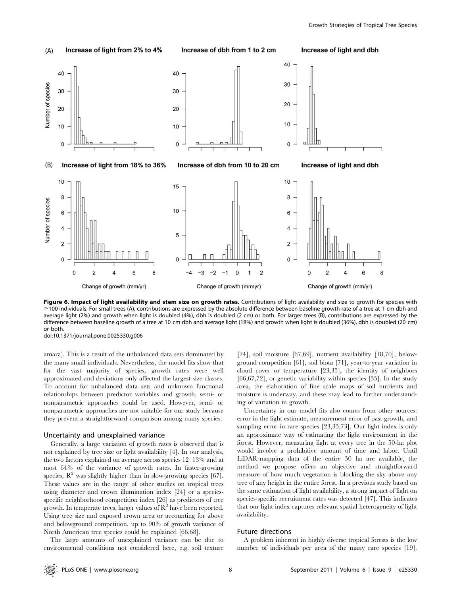

Figure 6. Impact of light availability and stem size on growth rates. Contributions of light availability and size to growth for species with  $\geq$ 100 individuals. For small trees (A), contributions are expressed by the absolute difference between baseline growth rate of a tree at 1 cm dbh and average light (2%) and growth when light is doubled (4%), dbh is doubled (2 cm) or both. For larger trees (B), contributions are expressed by the difference between baseline growth of a tree at 10 cm dbh and average light (18%) and growth when light is doubled (36%), dbh is doubled (20 cm) or both.

doi:10.1371/journal.pone.0025330.g006

amara). This is a result of the unbalanced data sets dominated by the many small individuals. Nevertheless, the model fits show that for the vast majority of species, growth rates were well approximated and deviations only affected the largest size classes. To account for unbalanced data sets and unknown functional relationships between predictor variables and growth, semi- or nonparametric approaches could be used. However, semi- or nonparametric approaches are not suitable for our study because they prevent a straightforward comparison among many species.

#### Uncertainty and unexplained variance

Generally, a large variation of growth rates is observed that is not explained by tree size or light availability [4]. In our analysis, the two factors explained on average across species 12–13% and at most 64% of the variance of growth rates. In faster-growing species,  $\mathbb{R}^2$  was slightly higher than in slow-growing species [67]. These values are in the range of other studies on tropical trees using diameter and crown illumination index [24] or a speciesspecific neighborhood competition index [26] as predictors of tree growth. In temperate trees, larger values of  $\mathbb{R}^2$  have been reported. Using tree size and exposed crown area or accounting for above and belowground competition, up to 90% of growth variance of North American tree species could be explained [66,68].

The large amounts of unexplained variance can be due to environmental conditions not considered here, e.g. soil texture

[24], soil moisture [67,69], nutrient availability [18,70], belowground competition [61], soil biota [71], year-to-year variation in cloud cover or temperature [23,35], the identity of neighbors [66,67,72], or genetic variability within species [35]. In the study area, the elaboration of fine scale maps of soil nutrients and moisture is underway, and these may lead to further understanding of variation in growth.

Uncertainty in our model fits also comes from other sources: error in the light estimate, measurement error of past growth, and sampling error in rare species [23,35,73]. Our light index is only an approximate way of estimating the light environment in the forest. However, measuring light at every tree in the 50-ha plot would involve a prohibitive amount of time and labor. Until LiDAR-mapping data of the entire 50 ha are available, the method we propose offers an objective and straightforward measure of how much vegetation is blocking the sky above any tree of any height in the entire forest. In a previous study based on the same estimation of light availability, a strong impact of light on species-specific recruitment rates was detected [47]. This indicates that our light index captures relevant spatial heterogeneity of light availability.

#### Future directions

A problem inherent in highly diverse tropical forests is the low number of individuals per area of the many rare species [19].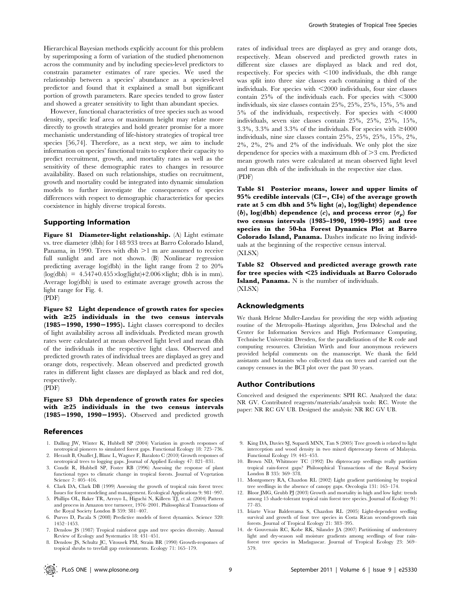Hierarchical Bayesian methods explicitly account for this problem by superimposing a form of variation of the studied phenomenon across the community and by including species-level predictors to constrain parameter estimates of rare species. We used the relationship between a species' abundance as a species-level predictor and found that it explained a small but significant portion of growth parameters. Rare species tended to grow faster and showed a greater sensitivity to light than abundant species.

However, functional characteristics of tree species such as wood density, specific leaf area or maximum height may relate more directly to growth strategies and hold greater promise for a more mechanistic understanding of life-history strategies of tropical tree species [56,74]. Therefore, as a next step, we aim to include information on species' functional traits to explore their capacity to predict recruitment, growth, and mortality rates as well as the sensitivity of these demographic rates to changes in resource availability. Based on such relationships, studies on recruitment, growth and mortality could be integrated into dynamic simulation models to further investigate the consequences of species differences with respect to demographic characteristics for species coexistence in highly diverse tropical forests.

# Supporting Information

Figure S1 Diameter-light relationship. (A) Light estimate vs. tree diameter (dbh) for 148 933 trees at Barro Colorado Island, Panama, in 1990. Trees with dbh  $>1$  m are assumed to receive full sunlight and are not shown. (B) Nonlinear regression predicting average log(dbh) in the light range from 2 to 20%  $(log(dbh) = 4.547+0.455 \times log(light)+2.006 \times light$ ; dbh is in mm). Average log(dbh) is used to estimate average growth across the light range for Fig. 4.

(PDF)

Figure S2 Light dependence of growth rates for species with  $\geq$  25 individuals in the two census intervals  $(1985-1990, 1990-1995)$ . Light classes correspond to deciles of light availability across all individuals. Predicted mean growth rates were calculated at mean observed light level and mean dbh of the individuals in the respective light class. Observed and predicted growth rates of individual trees are displayed as grey and orange dots, respectively. Mean observed and predicted growth rates in different light classes are displayed as black and red dot, respectively.

(PDF)

Figure S3 Dbh dependence of growth rates for species with  $\geq$ 25 individuals in the two census intervals  $(1985-1990, 1990-1995)$ . Observed and predicted growth

#### References

- 1. Dalling JW, Winter K, Hubbell SP (2004) Variation in growth responses of neotropical pioneers to simulated forest gaps. Functional Ecology 18: 725–736.
- 2. Herault B, Ouallet J, Blanc L, Wagner F, Baraloto C (2010) Growth responses of neotropical trees to logging gaps. Journal of Applied Ecology 47: 821–831.
- 3. Condit R, Hubbell SP, Foster RB (1996) Assessing the response of plant functional types to climatic change in tropical forests. Journal of Vegetation Science 7: 405–416.
- 4. Clark DA, Clark DB (1999) Assessing the growth of tropical rain forest trees: Issues for forest modeling and management. Ecological Applications 9: 981–997.
- 5. Phillips OL, Baker TR, Arroyo L, Higuchi N, Killeen TJ, et al. (2004) Pattern and process in Amazon tree turnover, 1976–2001. Philosophical Transactions of the Royal Society London B 359: 381–407.
- 6. Purves D, Pacala S (2008) Predictive models of forest dynamics. Science 320: 1452–1453.
- 7. Denslow JS (1987) Tropical rainforest gaps and tree species diversity. Annual Review of Ecology and Systematics 18: 431–451.
- 8. Denslow JS, Schultz JC, Vitousek PM, Strain BR (1990) Growth-responses of tropical shrubs to treefall gap environments. Ecology 71: 165–179.

rates of individual trees are displayed as grey and orange dots, respectively. Mean observed and predicted growth rates in different size classes are displayed as black and red dot, respectively. For species with  $\leq 100$  individuals, the dbh range was split into three size classes each containing a third of the individuals. For species with  $\leq$ 2000 individuals, four size classes contain  $25\%$  of the individuals each. For species with  $\leq 3000$ individuals, six size classes contain 25%, 25%, 25%, 15%, 5% and  $5\%$  of the individuals, respectively. For species with  $\leq 4000$ individuals, seven size classes contain 25%, 25%, 25%, 15%, 3.3%, 3.3% and 3.3% of the individuals. For species with  $\geq 4000$ individuals, nine size classes contain 25%, 25%, 25%, 15%, 2%, 2%, 2%, 2% and 2% of the individuals. We only plot the size dependence for species with a maximum dbh of  $\geq$  3 cm. Predicted mean growth rates were calculated at mean observed light level and mean dbh of the individuals in the respective size class. (PDF)

Table S1 Posterior means, lower and upper limits of 95% credible intervals  $(CI-, CI+)$  of the average growth rate at 5 cm dbh and 5% light  $(a)$ , log(light) dependence (b), log(dbh) dependence (c), and process error  $(\sigma_p)$  for two census intervals (1985–1990, 1990–1995) and tree species in the 50-ha Forest Dynamics Plot at Barro Colorado Island, Panama. Dashes indicate no living individuals at the beginning of the respective census interval. (XLSX)

Table S2 Observed and predicted average growth rate for tree species with <25 individuals at Barro Colorado **Island, Panama.** N is the number of individuals. (XLSX)

#### Acknowledgments

We thank Helene Muller-Landau for providing the step width adjusting routine of the Metropolis–Hastings algorithm, Jens Doleschal and the Center for Information Services and High Performance Computing, Technische Universität Dresden, for the parallelization of the R code and computing resources. Christian Wirth and four anonymous reviewers provided helpful comments on the manuscript. We thank the field assistants and botanists who collected data on trees and carried out the canopy censuses in the BCI plot over the past 30 years.

# Author Contributions

Conceived and designed the experiments: SPH RC. Analyzed the data: NR GV. Contributed reagents/materials/analysis tools: RC. Wrote the paper: NR RC GV UB. Designed the analysis: NR RC GV UB.

- 9. King DA, Davies SJ, Supardi MNN, Tan S (2005) Tree growth is related to light interception and wood density in two mixed dipterocarp forests of Malaysia. Functional Ecology 19: 445–453.
- 10. Brown ND, Whitmore TC (1992) Do dipterocarp seedlings really partition tropical rain-forest gaps? Philosophical Transactions of the Royal Society London B 335: 369–378.
- 11. Montgomery RA, Chazdon RL (2002) Light gradient partitioning by tropical tree seedlings in the absence of canopy gaps. Oecologia 131: 165–174.
- 12. Bloor JMG, Grubb PJ (2003) Growth and mortality in high and low light: trends among 15 shade-tolerant tropical rain forest tree species. Journal of Ecology 91: 77–85.
- 13. Iriarte Vivar Balderrama S, Chazdon RL (2005) Light-dependent seedling survival and growth of four tree species in Costa Rican second-growth rain forests. Journal of Tropical Ecology 21: 383–395.
- 14. de Gouvenain RC, Kobe RK, Silander JA (2007) Partitioning of understorey light and dry-season soil moisture gradients among seedlings of four rainforest tree species in Madagascar. Journal of Tropical Ecology 23: 569– 579.